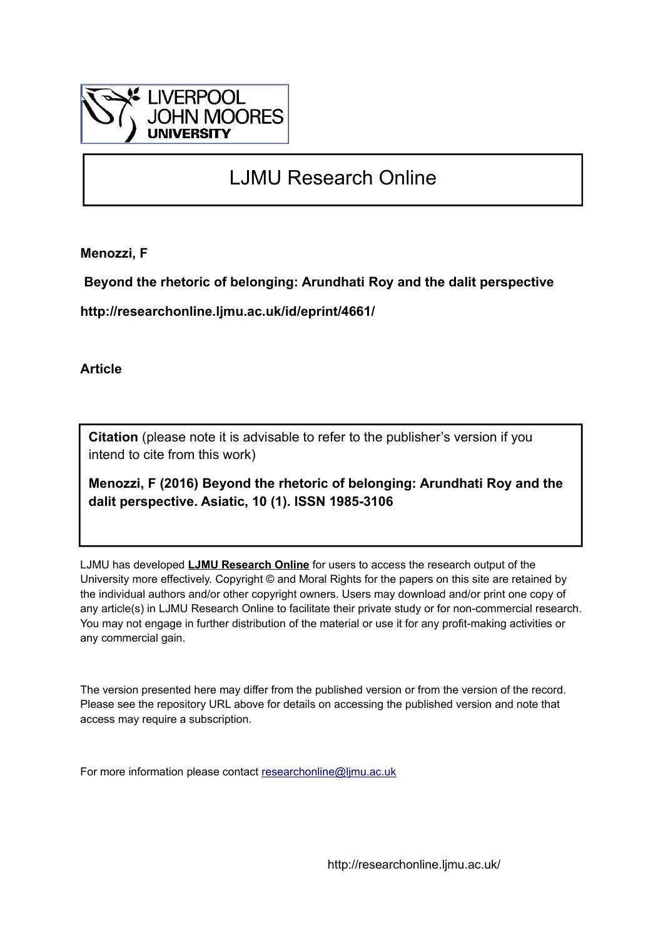

# LJMU Research Online

**Menozzi, F**

 **Beyond the rhetoric of belonging: Arundhati Roy and the dalit perspective**

**http://researchonline.ljmu.ac.uk/id/eprint/4661/**

**Article**

**Citation** (please note it is advisable to refer to the publisher's version if you intend to cite from this work)

**Menozzi, F (2016) Beyond the rhetoric of belonging: Arundhati Roy and the dalit perspective. Asiatic, 10 (1). ISSN 1985-3106** 

LJMU has developed **[LJMU Research Online](http://researchonline.ljmu.ac.uk/)** for users to access the research output of the University more effectively. Copyright © and Moral Rights for the papers on this site are retained by the individual authors and/or other copyright owners. Users may download and/or print one copy of any article(s) in LJMU Research Online to facilitate their private study or for non-commercial research. You may not engage in further distribution of the material or use it for any profit-making activities or any commercial gain.

The version presented here may differ from the published version or from the version of the record. Please see the repository URL above for details on accessing the published version and note that access may require a subscription.

For more information please contact [researchonline@ljmu.ac.uk](mailto:researchonline@ljmu.ac.uk)

http://researchonline.ljmu.ac.uk/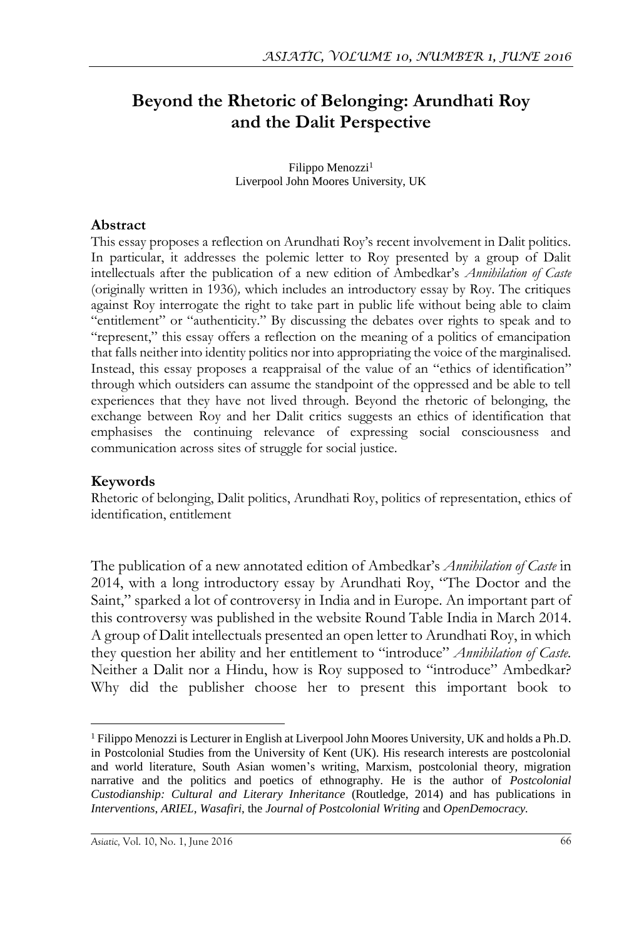## **Beyond the Rhetoric of Belonging: Arundhati Roy and the Dalit Perspective**

Filippo Menozzi<sup>1</sup> Liverpool John Moores University, UK

#### **Abstract**

This essay proposes a reflection on Arundhati Roy's recent involvement in Dalit politics. In particular, it addresses the polemic letter to Roy presented by a group of Dalit intellectuals after the publication of a new edition of Ambedkar's *Annihilation of Caste* (originally written in 1936)*,* which includes an introductory essay by Roy. The critiques against Roy interrogate the right to take part in public life without being able to claim "entitlement" or "authenticity." By discussing the debates over rights to speak and to "represent," this essay offers a reflection on the meaning of a politics of emancipation that falls neither into identity politics nor into appropriating the voice of the marginalised. Instead, this essay proposes a reappraisal of the value of an "ethics of identification" through which outsiders can assume the standpoint of the oppressed and be able to tell experiences that they have not lived through. Beyond the rhetoric of belonging, the exchange between Roy and her Dalit critics suggests an ethics of identification that emphasises the continuing relevance of expressing social consciousness and communication across sites of struggle for social justice.

#### **Keywords**

 $\overline{a}$ 

Rhetoric of belonging, Dalit politics, Arundhati Roy, politics of representation, ethics of identification, entitlement

The publication of a new annotated edition of Ambedkar's *Annihilation of Caste* in 2014, with a long introductory essay by Arundhati Roy, "The Doctor and the Saint," sparked a lot of controversy in India and in Europe. An important part of this controversy was published in the website Round Table India in March 2014. A group of Dalit intellectuals presented an open letter to Arundhati Roy, in which they question her ability and her entitlement to "introduce" *Annihilation of Caste.*  Neither a Dalit nor a Hindu, how is Roy supposed to "introduce" Ambedkar? Why did the publisher choose her to present this important book to

<sup>1</sup> Filippo Menozzi is Lecturer in English at Liverpool John Moores University, UK and holds a Ph.D. in Postcolonial Studies from the University of Kent (UK). His research interests are postcolonial and world literature, South Asian women's writing, Marxism, postcolonial theory, migration narrative and the politics and poetics of ethnography. He is the author of *Postcolonial Custodianship: Cultural and Literary Inheritance* (Routledge, 2014) and has publications in *Interventions*, *ARIEL*, *Wasafiri*, the *Journal of Postcolonial Writing* and *OpenDemocracy.*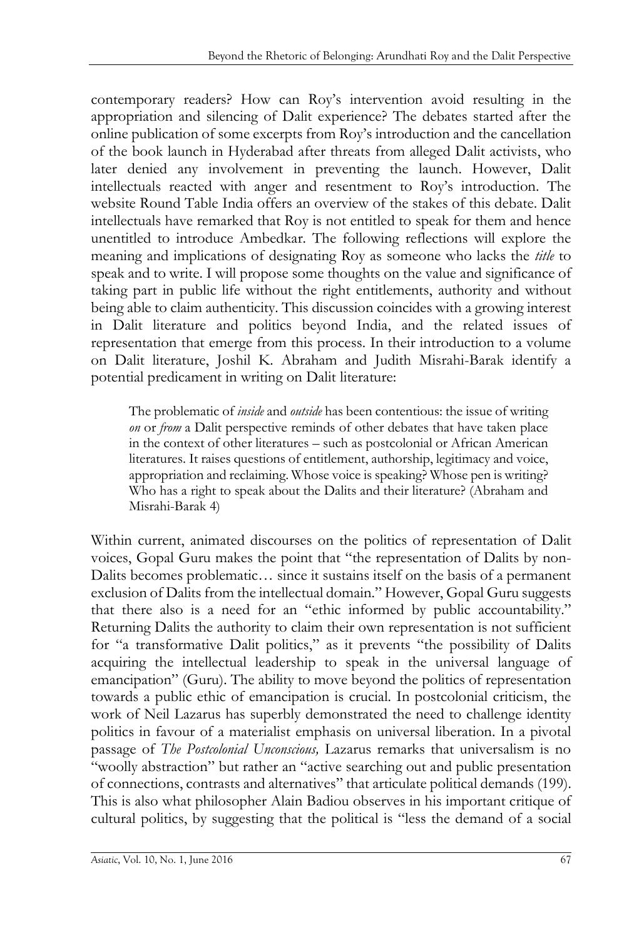contemporary readers? How can Roy's intervention avoid resulting in the appropriation and silencing of Dalit experience? The debates started after the online publication of some excerpts from Roy's introduction and the cancellation of the book launch in Hyderabad after threats from alleged Dalit activists, who later denied any involvement in preventing the launch. However, Dalit intellectuals reacted with anger and resentment to Roy's introduction. The website Round Table India offers an overview of the stakes of this debate. Dalit intellectuals have remarked that Roy is not entitled to speak for them and hence unentitled to introduce Ambedkar. The following reflections will explore the meaning and implications of designating Roy as someone who lacks the *title* to speak and to write. I will propose some thoughts on the value and significance of taking part in public life without the right entitlements, authority and without being able to claim authenticity. This discussion coincides with a growing interest in Dalit literature and politics beyond India, and the related issues of representation that emerge from this process. In their introduction to a volume on Dalit literature, Joshil K. Abraham and Judith Misrahi-Barak identify a potential predicament in writing on Dalit literature:

The problematic of *inside* and *outside* has been contentious: the issue of writing *on* or *from* a Dalit perspective reminds of other debates that have taken place in the context of other literatures – such as postcolonial or African American literatures. It raises questions of entitlement, authorship, legitimacy and voice, appropriation and reclaiming. Whose voice is speaking? Whose pen is writing? Who has a right to speak about the Dalits and their literature? (Abraham and Misrahi-Barak 4)

Within current, animated discourses on the politics of representation of Dalit voices, Gopal Guru makes the point that "the representation of Dalits by non-Dalits becomes problematic… since it sustains itself on the basis of a permanent exclusion of Dalits from the intellectual domain." However, Gopal Guru suggests that there also is a need for an "ethic informed by public accountability." Returning Dalits the authority to claim their own representation is not sufficient for "a transformative Dalit politics," as it prevents "the possibility of Dalits acquiring the intellectual leadership to speak in the universal language of emancipation" (Guru). The ability to move beyond the politics of representation towards a public ethic of emancipation is crucial. In postcolonial criticism, the work of Neil Lazarus has superbly demonstrated the need to challenge identity politics in favour of a materialist emphasis on universal liberation. In a pivotal passage of *The Postcolonial Unconscious,* Lazarus remarks that universalism is no "woolly abstraction" but rather an "active searching out and public presentation of connections, contrasts and alternatives" that articulate political demands (199). This is also what philosopher Alain Badiou observes in his important critique of cultural politics, by suggesting that the political is "less the demand of a social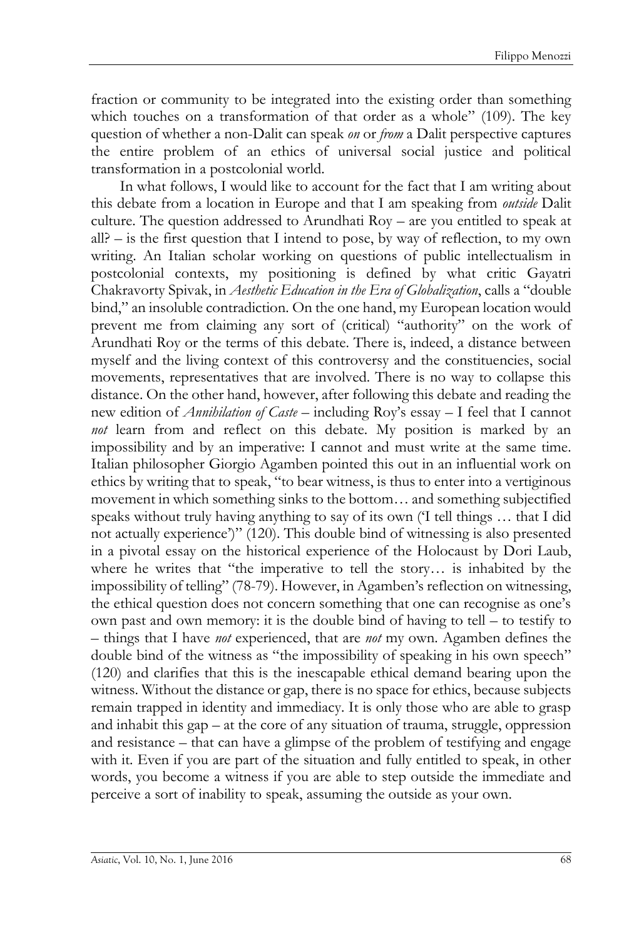fraction or community to be integrated into the existing order than something which touches on a transformation of that order as a whole" (109). The key question of whether a non-Dalit can speak *on* or *from* a Dalit perspective captures the entire problem of an ethics of universal social justice and political transformation in a postcolonial world.

In what follows, I would like to account for the fact that I am writing about this debate from a location in Europe and that I am speaking from *outside* Dalit culture. The question addressed to Arundhati Roy – are you entitled to speak at all?  $-$  is the first question that I intend to pose, by way of reflection, to my own writing. An Italian scholar working on questions of public intellectualism in postcolonial contexts, my positioning is defined by what critic Gayatri Chakravorty Spivak, in *Aesthetic Education in the Era of Globalization*, calls a "double bind," an insoluble contradiction. On the one hand, my European location would prevent me from claiming any sort of (critical) "authority" on the work of Arundhati Roy or the terms of this debate. There is, indeed, a distance between myself and the living context of this controversy and the constituencies, social movements, representatives that are involved. There is no way to collapse this distance. On the other hand, however, after following this debate and reading the new edition of *Annihilation of Caste* – including Roy's essay – I feel that I cannot *not* learn from and reflect on this debate. My position is marked by an impossibility and by an imperative: I cannot and must write at the same time. Italian philosopher Giorgio Agamben pointed this out in an influential work on ethics by writing that to speak, "to bear witness, is thus to enter into a vertiginous movement in which something sinks to the bottom… and something subjectified speaks without truly having anything to say of its own ('I tell things … that I did not actually experience')" (120). This double bind of witnessing is also presented in a pivotal essay on the historical experience of the Holocaust by Dori Laub, where he writes that "the imperative to tell the story… is inhabited by the impossibility of telling" (78-79). However, in Agamben's reflection on witnessing, the ethical question does not concern something that one can recognise as one's own past and own memory: it is the double bind of having to tell – to testify to – things that I have *not* experienced, that are *not* my own. Agamben defines the double bind of the witness as "the impossibility of speaking in his own speech" (120) and clarifies that this is the inescapable ethical demand bearing upon the witness. Without the distance or gap, there is no space for ethics, because subjects remain trapped in identity and immediacy. It is only those who are able to grasp and inhabit this gap – at the core of any situation of trauma, struggle, oppression and resistance – that can have a glimpse of the problem of testifying and engage with it. Even if you are part of the situation and fully entitled to speak, in other words, you become a witness if you are able to step outside the immediate and perceive a sort of inability to speak, assuming the outside as your own.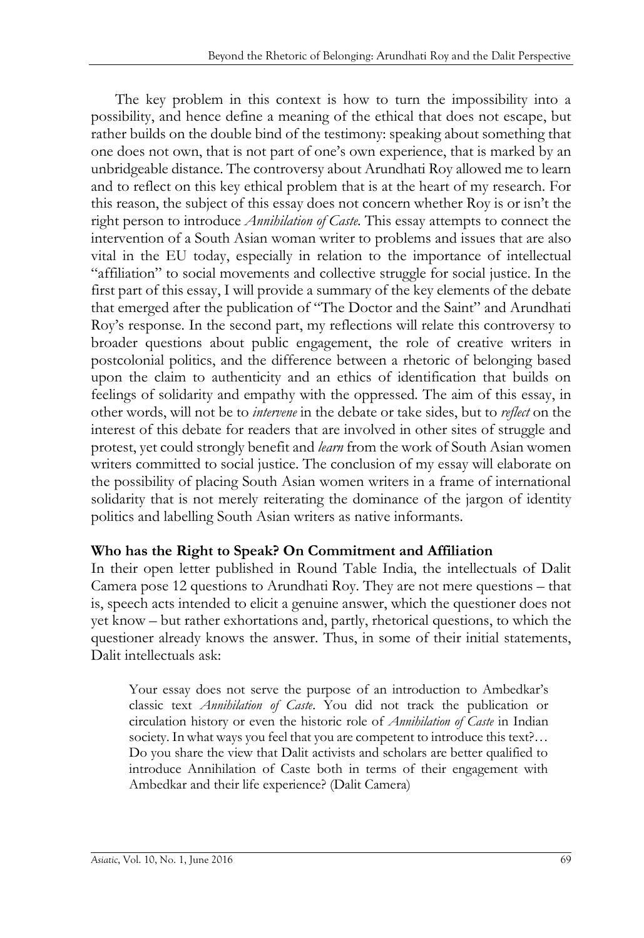The key problem in this context is how to turn the impossibility into a possibility, and hence define a meaning of the ethical that does not escape, but rather builds on the double bind of the testimony: speaking about something that one does not own, that is not part of one's own experience, that is marked by an unbridgeable distance. The controversy about Arundhati Roy allowed me to learn and to reflect on this key ethical problem that is at the heart of my research. For this reason, the subject of this essay does not concern whether Roy is or isn't the right person to introduce *Annihilation of Caste.* This essay attempts to connect the intervention of a South Asian woman writer to problems and issues that are also vital in the EU today, especially in relation to the importance of intellectual "affiliation" to social movements and collective struggle for social justice. In the first part of this essay, I will provide a summary of the key elements of the debate that emerged after the publication of "The Doctor and the Saint" and Arundhati Roy's response. In the second part, my reflections will relate this controversy to broader questions about public engagement, the role of creative writers in postcolonial politics, and the difference between a rhetoric of belonging based upon the claim to authenticity and an ethics of identification that builds on feelings of solidarity and empathy with the oppressed. The aim of this essay, in other words, will not be to *intervene* in the debate or take sides, but to *reflect* on the interest of this debate for readers that are involved in other sites of struggle and protest, yet could strongly benefit and *learn* from the work of South Asian women writers committed to social justice. The conclusion of my essay will elaborate on the possibility of placing South Asian women writers in a frame of international solidarity that is not merely reiterating the dominance of the jargon of identity politics and labelling South Asian writers as native informants.

#### **Who has the Right to Speak? On Commitment and Affiliation**

In their open letter published in Round Table India, the intellectuals of Dalit Camera pose 12 questions to Arundhati Roy. They are not mere questions – that is, speech acts intended to elicit a genuine answer, which the questioner does not yet know – but rather exhortations and, partly, rhetorical questions, to which the questioner already knows the answer. Thus, in some of their initial statements, Dalit intellectuals ask:

Your essay does not serve the purpose of an introduction to Ambedkar's classic text *Annihilation of Caste*. You did not track the publication or circulation history or even the historic role of *Annihilation of Caste* in Indian society. In what ways you feel that you are competent to introduce this text?... Do you share the view that Dalit activists and scholars are better qualified to introduce Annihilation of Caste both in terms of their engagement with Ambedkar and their life experience? (Dalit Camera)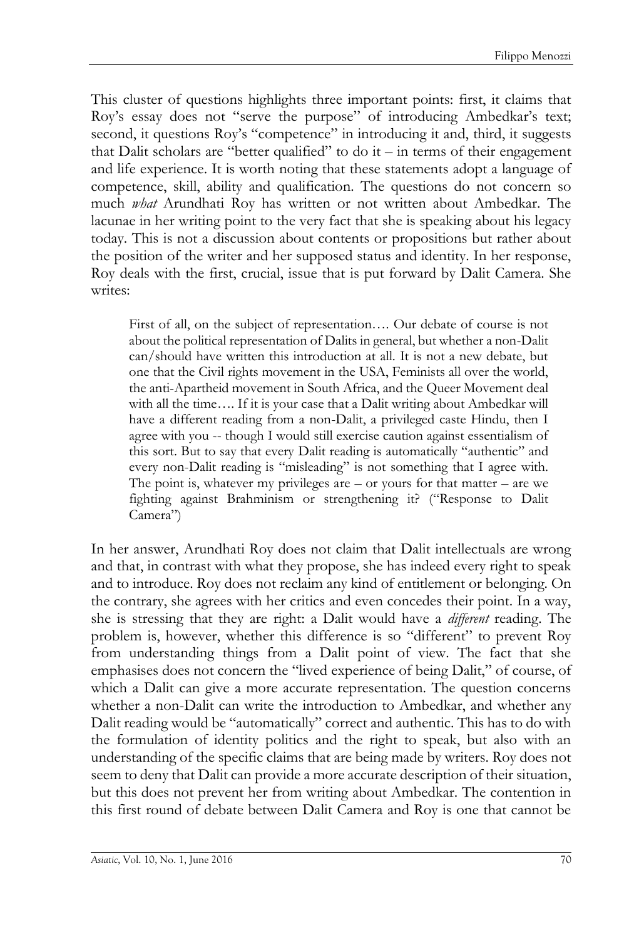This cluster of questions highlights three important points: first, it claims that Roy's essay does not "serve the purpose" of introducing Ambedkar's text; second, it questions Roy's "competence" in introducing it and, third, it suggests that Dalit scholars are "better qualified" to do it – in terms of their engagement and life experience. It is worth noting that these statements adopt a language of competence, skill, ability and qualification. The questions do not concern so much *what* Arundhati Roy has written or not written about Ambedkar. The lacunae in her writing point to the very fact that she is speaking about his legacy today. This is not a discussion about contents or propositions but rather about the position of the writer and her supposed status and identity. In her response, Roy deals with the first, crucial, issue that is put forward by Dalit Camera. She writes:

First of all, on the subject of representation…. Our debate of course is not about the political representation of Dalits in general, but whether a non-Dalit can/should have written this introduction at all. It is not a new debate, but one that the Civil rights movement in the USA, Feminists all over the world, the anti-Apartheid movement in South Africa, and the Queer Movement deal with all the time.... If it is your case that a Dalit writing about Ambedkar will have a different reading from a non-Dalit, a privileged caste Hindu, then I agree with you -- though I would still exercise caution against essentialism of this sort. But to say that every Dalit reading is automatically "authentic" and every non-Dalit reading is "misleading" is not something that I agree with. The point is, whatever my privileges are  $-$  or yours for that matter  $-$  are we fighting against Brahminism or strengthening it? ("Response to Dalit Camera")

In her answer, Arundhati Roy does not claim that Dalit intellectuals are wrong and that, in contrast with what they propose, she has indeed every right to speak and to introduce. Roy does not reclaim any kind of entitlement or belonging. On the contrary, she agrees with her critics and even concedes their point. In a way, she is stressing that they are right: a Dalit would have a *different* reading. The problem is, however, whether this difference is so "different" to prevent Roy from understanding things from a Dalit point of view. The fact that she emphasises does not concern the "lived experience of being Dalit," of course, of which a Dalit can give a more accurate representation. The question concerns whether a non-Dalit can write the introduction to Ambedkar, and whether any Dalit reading would be "automatically" correct and authentic. This has to do with the formulation of identity politics and the right to speak, but also with an understanding of the specific claims that are being made by writers. Roy does not seem to deny that Dalit can provide a more accurate description of their situation, but this does not prevent her from writing about Ambedkar. The contention in this first round of debate between Dalit Camera and Roy is one that cannot be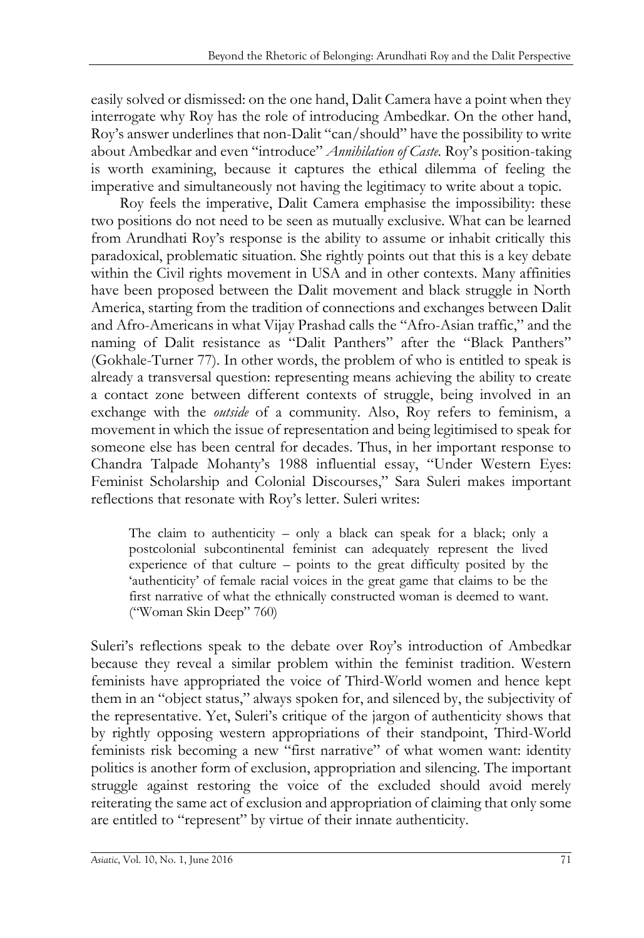easily solved or dismissed: on the one hand, Dalit Camera have a point when they interrogate why Roy has the role of introducing Ambedkar. On the other hand, Roy's answer underlines that non-Dalit "can/should" have the possibility to write about Ambedkar and even "introduce" *Annihilation of Caste.* Roy's position-taking is worth examining, because it captures the ethical dilemma of feeling the imperative and simultaneously not having the legitimacy to write about a topic.

Roy feels the imperative, Dalit Camera emphasise the impossibility: these two positions do not need to be seen as mutually exclusive. What can be learned from Arundhati Roy's response is the ability to assume or inhabit critically this paradoxical, problematic situation. She rightly points out that this is a key debate within the Civil rights movement in USA and in other contexts. Many affinities have been proposed between the Dalit movement and black struggle in North America, starting from the tradition of connections and exchanges between Dalit and Afro-Americans in what Vijay Prashad calls the "Afro-Asian traffic," and the naming of Dalit resistance as "Dalit Panthers" after the "Black Panthers" (Gokhale-Turner 77). In other words, the problem of who is entitled to speak is already a transversal question: representing means achieving the ability to create a contact zone between different contexts of struggle, being involved in an exchange with the *outside* of a community. Also, Roy refers to feminism, a movement in which the issue of representation and being legitimised to speak for someone else has been central for decades. Thus, in her important response to Chandra Talpade Mohanty's 1988 influential essay, "Under Western Eyes: Feminist Scholarship and Colonial Discourses," Sara Suleri makes important reflections that resonate with Roy's letter. Suleri writes:

The claim to authenticity  $-$  only a black can speak for a black; only a postcolonial subcontinental feminist can adequately represent the lived experience of that culture – points to the great difficulty posited by the 'authenticity' of female racial voices in the great game that claims to be the first narrative of what the ethnically constructed woman is deemed to want. ("Woman Skin Deep" 760)

Suleri's reflections speak to the debate over Roy's introduction of Ambedkar because they reveal a similar problem within the feminist tradition. Western feminists have appropriated the voice of Third-World women and hence kept them in an "object status," always spoken for, and silenced by, the subjectivity of the representative. Yet, Suleri's critique of the jargon of authenticity shows that by rightly opposing western appropriations of their standpoint, Third-World feminists risk becoming a new "first narrative" of what women want: identity politics is another form of exclusion, appropriation and silencing. The important struggle against restoring the voice of the excluded should avoid merely reiterating the same act of exclusion and appropriation of claiming that only some are entitled to "represent" by virtue of their innate authenticity.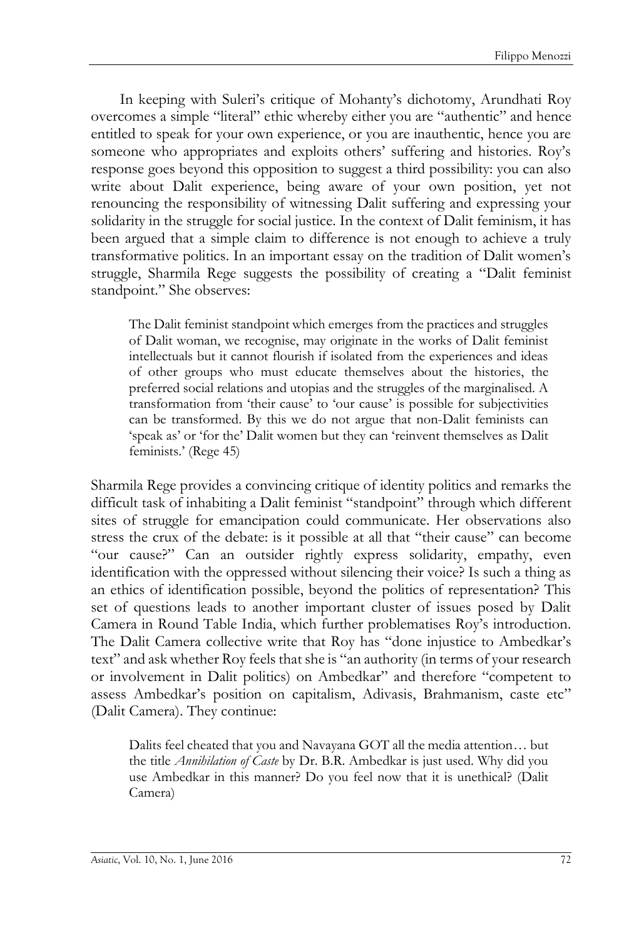In keeping with Suleri's critique of Mohanty's dichotomy, Arundhati Roy overcomes a simple "literal" ethic whereby either you are "authentic" and hence entitled to speak for your own experience, or you are inauthentic, hence you are someone who appropriates and exploits others' suffering and histories. Roy's response goes beyond this opposition to suggest a third possibility: you can also write about Dalit experience, being aware of your own position, yet not renouncing the responsibility of witnessing Dalit suffering and expressing your solidarity in the struggle for social justice. In the context of Dalit feminism, it has been argued that a simple claim to difference is not enough to achieve a truly transformative politics. In an important essay on the tradition of Dalit women's struggle, Sharmila Rege suggests the possibility of creating a "Dalit feminist standpoint." She observes:

The Dalit feminist standpoint which emerges from the practices and struggles of Dalit woman, we recognise, may originate in the works of Dalit feminist intellectuals but it cannot flourish if isolated from the experiences and ideas of other groups who must educate themselves about the histories, the preferred social relations and utopias and the struggles of the marginalised. A transformation from 'their cause' to 'our cause' is possible for subjectivities can be transformed. By this we do not argue that non-Dalit feminists can 'speak as' or 'for the' Dalit women but they can 'reinvent themselves as Dalit feminists.' (Rege 45)

Sharmila Rege provides a convincing critique of identity politics and remarks the difficult task of inhabiting a Dalit feminist "standpoint" through which different sites of struggle for emancipation could communicate. Her observations also stress the crux of the debate: is it possible at all that "their cause" can become "our cause?" Can an outsider rightly express solidarity, empathy, even identification with the oppressed without silencing their voice? Is such a thing as an ethics of identification possible, beyond the politics of representation? This set of questions leads to another important cluster of issues posed by Dalit Camera in Round Table India, which further problematises Roy's introduction. The Dalit Camera collective write that Roy has "done injustice to Ambedkar's text" and ask whether Roy feels that she is "an authority (in terms of your research or involvement in Dalit politics) on Ambedkar" and therefore "competent to assess Ambedkar's position on capitalism, Adivasis, Brahmanism, caste etc" (Dalit Camera). They continue:

Dalits feel cheated that you and Navayana GOT all the media attention… but the title *Annihilation of Caste* by Dr. B.R. Ambedkar is just used. Why did you use Ambedkar in this manner? Do you feel now that it is unethical? (Dalit Camera)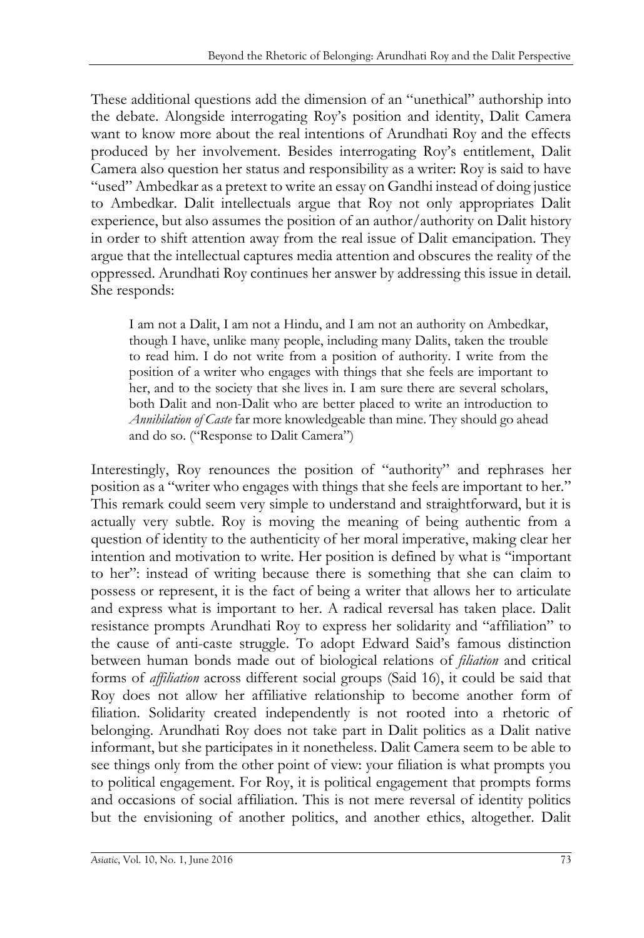These additional questions add the dimension of an "unethical" authorship into the debate. Alongside interrogating Roy's position and identity, Dalit Camera want to know more about the real intentions of Arundhati Roy and the effects produced by her involvement. Besides interrogating Roy's entitlement, Dalit Camera also question her status and responsibility as a writer: Roy is said to have "used" Ambedkar as a pretext to write an essay on Gandhi instead of doing justice to Ambedkar. Dalit intellectuals argue that Roy not only appropriates Dalit experience, but also assumes the position of an author/authority on Dalit history in order to shift attention away from the real issue of Dalit emancipation. They argue that the intellectual captures media attention and obscures the reality of the oppressed. Arundhati Roy continues her answer by addressing this issue in detail. She responds:

I am not a Dalit, I am not a Hindu, and I am not an authority on Ambedkar, though I have, unlike many people, including many Dalits, taken the trouble to read him. I do not write from a position of authority. I write from the position of a writer who engages with things that she feels are important to her, and to the society that she lives in. I am sure there are several scholars, both Dalit and non-Dalit who are better placed to write an introduction to *Annihilation of Caste* far more knowledgeable than mine. They should go ahead and do so. ("Response to Dalit Camera")

Interestingly, Roy renounces the position of "authority" and rephrases her position as a "writer who engages with things that she feels are important to her." This remark could seem very simple to understand and straightforward, but it is actually very subtle. Roy is moving the meaning of being authentic from a question of identity to the authenticity of her moral imperative, making clear her intention and motivation to write. Her position is defined by what is "important to her": instead of writing because there is something that she can claim to possess or represent, it is the fact of being a writer that allows her to articulate and express what is important to her. A radical reversal has taken place. Dalit resistance prompts Arundhati Roy to express her solidarity and "affiliation" to the cause of anti-caste struggle. To adopt Edward Said's famous distinction between human bonds made out of biological relations of *filiation* and critical forms of *affiliation* across different social groups (Said 16), it could be said that Roy does not allow her affiliative relationship to become another form of filiation. Solidarity created independently is not rooted into a rhetoric of belonging. Arundhati Roy does not take part in Dalit politics as a Dalit native informant, but she participates in it nonetheless. Dalit Camera seem to be able to see things only from the other point of view: your filiation is what prompts you to political engagement. For Roy, it is political engagement that prompts forms and occasions of social affiliation. This is not mere reversal of identity politics but the envisioning of another politics, and another ethics, altogether. Dalit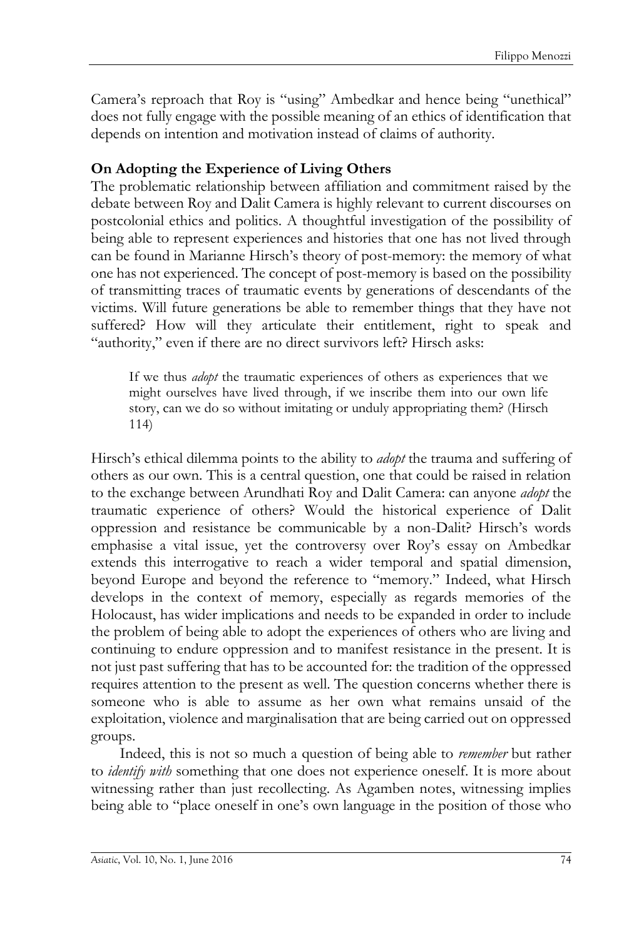Camera's reproach that Roy is "using" Ambedkar and hence being "unethical" does not fully engage with the possible meaning of an ethics of identification that depends on intention and motivation instead of claims of authority.

#### **On Adopting the Experience of Living Others**

The problematic relationship between affiliation and commitment raised by the debate between Roy and Dalit Camera is highly relevant to current discourses on postcolonial ethics and politics. A thoughtful investigation of the possibility of being able to represent experiences and histories that one has not lived through can be found in Marianne Hirsch's theory of post-memory: the memory of what one has not experienced. The concept of post-memory is based on the possibility of transmitting traces of traumatic events by generations of descendants of the victims. Will future generations be able to remember things that they have not suffered? How will they articulate their entitlement, right to speak and "authority," even if there are no direct survivors left? Hirsch asks:

If we thus *adopt* the traumatic experiences of others as experiences that we might ourselves have lived through, if we inscribe them into our own life story, can we do so without imitating or unduly appropriating them? (Hirsch 114)

Hirsch's ethical dilemma points to the ability to *adopt* the trauma and suffering of others as our own. This is a central question, one that could be raised in relation to the exchange between Arundhati Roy and Dalit Camera: can anyone *adopt* the traumatic experience of others? Would the historical experience of Dalit oppression and resistance be communicable by a non-Dalit? Hirsch's words emphasise a vital issue, yet the controversy over Roy's essay on Ambedkar extends this interrogative to reach a wider temporal and spatial dimension, beyond Europe and beyond the reference to "memory." Indeed, what Hirsch develops in the context of memory, especially as regards memories of the Holocaust, has wider implications and needs to be expanded in order to include the problem of being able to adopt the experiences of others who are living and continuing to endure oppression and to manifest resistance in the present. It is not just past suffering that has to be accounted for: the tradition of the oppressed requires attention to the present as well. The question concerns whether there is someone who is able to assume as her own what remains unsaid of the exploitation, violence and marginalisation that are being carried out on oppressed groups.

Indeed, this is not so much a question of being able to *remember* but rather to *identify with* something that one does not experience oneself. It is more about witnessing rather than just recollecting. As Agamben notes, witnessing implies being able to "place oneself in one's own language in the position of those who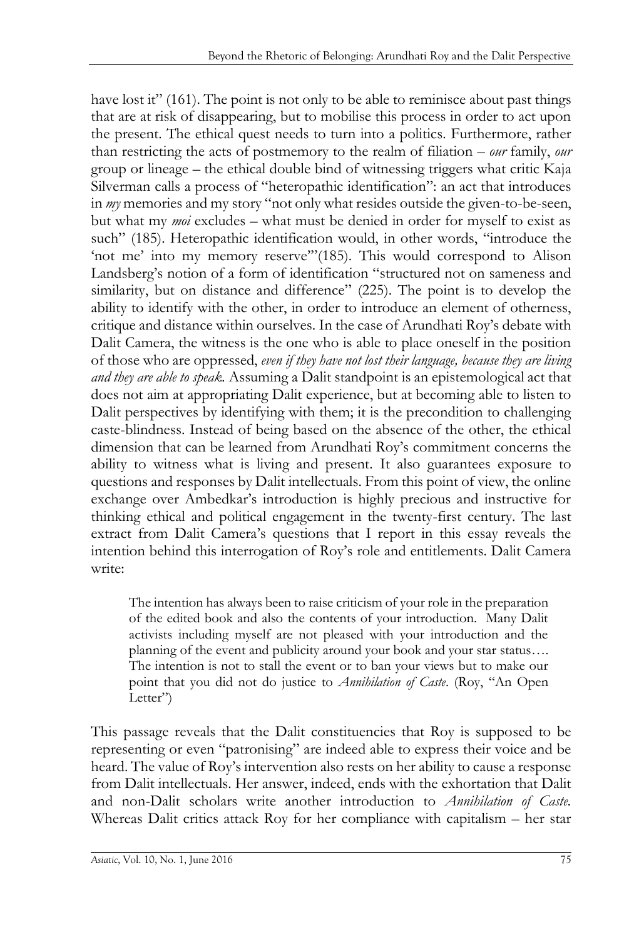have lost it" (161). The point is not only to be able to reminisce about past things that are at risk of disappearing, but to mobilise this process in order to act upon the present. The ethical quest needs to turn into a politics. Furthermore, rather than restricting the acts of postmemory to the realm of filiation – *our* family, *our*  group or lineage – the ethical double bind of witnessing triggers what critic Kaja Silverman calls a process of "heteropathic identification": an act that introduces in *my* memories and my story "not only what resides outside the given-to-be-seen, but what my *moi* excludes – what must be denied in order for myself to exist as such" (185). Heteropathic identification would, in other words, "introduce the 'not me' into my memory reserve'"(185). This would correspond to Alison Landsberg's notion of a form of identification "structured not on sameness and similarity, but on distance and difference" (225). The point is to develop the ability to identify with the other, in order to introduce an element of otherness, critique and distance within ourselves. In the case of Arundhati Roy's debate with Dalit Camera, the witness is the one who is able to place oneself in the position of those who are oppressed, *even if they have not lost their language, because they are living and they are able to speak.* Assuming a Dalit standpoint is an epistemological act that does not aim at appropriating Dalit experience, but at becoming able to listen to Dalit perspectives by identifying with them; it is the precondition to challenging caste-blindness. Instead of being based on the absence of the other, the ethical dimension that can be learned from Arundhati Roy's commitment concerns the ability to witness what is living and present. It also guarantees exposure to questions and responses by Dalit intellectuals. From this point of view, the online exchange over Ambedkar's introduction is highly precious and instructive for thinking ethical and political engagement in the twenty-first century. The last extract from Dalit Camera's questions that I report in this essay reveals the intention behind this interrogation of Roy's role and entitlements. Dalit Camera write:

The intention has always been to raise criticism of your role in the preparation of the edited book and also the contents of your introduction. Many Dalit activists including myself are not pleased with your introduction and the planning of the event and publicity around your book and your star status…. The intention is not to stall the event or to ban your views but to make our point that you did not do justice to *Annihilation of Caste*. (Roy, "An Open Letter")

This passage reveals that the Dalit constituencies that Roy is supposed to be representing or even "patronising" are indeed able to express their voice and be heard. The value of Roy's intervention also rests on her ability to cause a response from Dalit intellectuals. Her answer, indeed, ends with the exhortation that Dalit and non-Dalit scholars write another introduction to *Annihilation of Caste.*  Whereas Dalit critics attack Roy for her compliance with capitalism – her star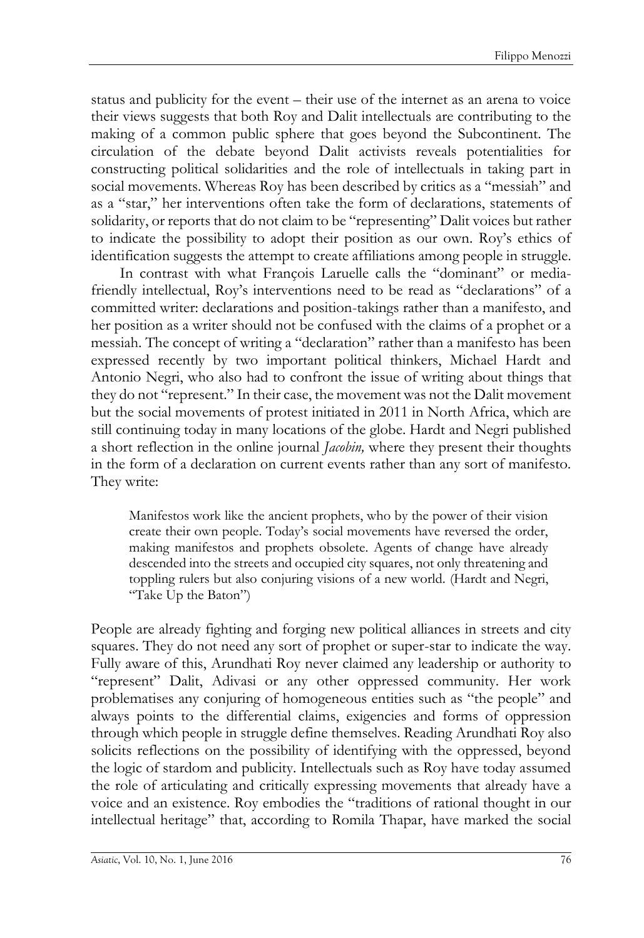status and publicity for the event – their use of the internet as an arena to voice their views suggests that both Roy and Dalit intellectuals are contributing to the making of a common public sphere that goes beyond the Subcontinent. The circulation of the debate beyond Dalit activists reveals potentialities for constructing political solidarities and the role of intellectuals in taking part in social movements. Whereas Roy has been described by critics as a "messiah" and as a "star," her interventions often take the form of declarations, statements of solidarity, or reports that do not claim to be "representing" Dalit voices but rather to indicate the possibility to adopt their position as our own. Roy's ethics of identification suggests the attempt to create affiliations among people in struggle.

In contrast with what François Laruelle calls the "dominant" or mediafriendly intellectual, Roy's interventions need to be read as "declarations" of a committed writer: declarations and position-takings rather than a manifesto, and her position as a writer should not be confused with the claims of a prophet or a messiah. The concept of writing a "declaration" rather than a manifesto has been expressed recently by two important political thinkers, Michael Hardt and Antonio Negri, who also had to confront the issue of writing about things that they do not "represent." In their case, the movement was not the Dalit movement but the social movements of protest initiated in 2011 in North Africa, which are still continuing today in many locations of the globe. Hardt and Negri published a short reflection in the online journal *Jacobin,* where they present their thoughts in the form of a declaration on current events rather than any sort of manifesto. They write:

Manifestos work like the ancient prophets, who by the power of their vision create their own people. Today's social movements have reversed the order, making manifestos and prophets obsolete. Agents of change have already descended into the streets and occupied city squares, not only threatening and toppling rulers but also conjuring visions of a new world. (Hardt and Negri, "Take Up the Baton")

People are already fighting and forging new political alliances in streets and city squares. They do not need any sort of prophet or super-star to indicate the way. Fully aware of this, Arundhati Roy never claimed any leadership or authority to "represent" Dalit, Adivasi or any other oppressed community. Her work problematises any conjuring of homogeneous entities such as "the people" and always points to the differential claims, exigencies and forms of oppression through which people in struggle define themselves. Reading Arundhati Roy also solicits reflections on the possibility of identifying with the oppressed, beyond the logic of stardom and publicity. Intellectuals such as Roy have today assumed the role of articulating and critically expressing movements that already have a voice and an existence. Roy embodies the "traditions of rational thought in our intellectual heritage" that, according to Romila Thapar, have marked the social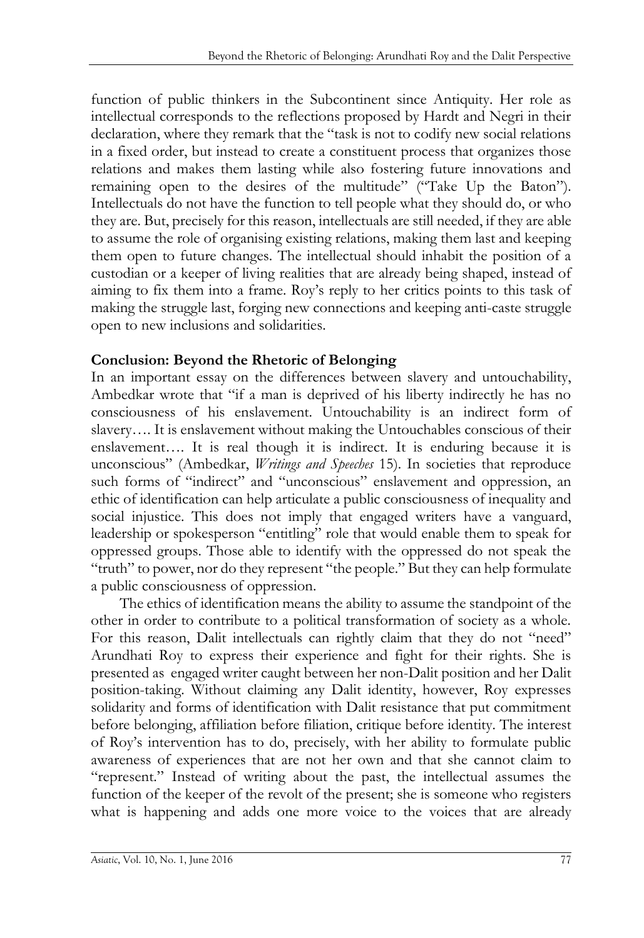function of public thinkers in the Subcontinent since Antiquity. Her role as intellectual corresponds to the reflections proposed by Hardt and Negri in their declaration, where they remark that the "task is not to codify new social relations in a fixed order, but instead to create a constituent process that organizes those relations and makes them lasting while also fostering future innovations and remaining open to the desires of the multitude" ("Take Up the Baton"). Intellectuals do not have the function to tell people what they should do, or who they are. But, precisely for this reason, intellectuals are still needed, if they are able to assume the role of organising existing relations, making them last and keeping them open to future changes. The intellectual should inhabit the position of a custodian or a keeper of living realities that are already being shaped, instead of aiming to fix them into a frame. Roy's reply to her critics points to this task of making the struggle last, forging new connections and keeping anti-caste struggle open to new inclusions and solidarities.

### **Conclusion: Beyond the Rhetoric of Belonging**

In an important essay on the differences between slavery and untouchability, Ambedkar wrote that "if a man is deprived of his liberty indirectly he has no consciousness of his enslavement. Untouchability is an indirect form of slavery.... It is enslavement without making the Untouchables conscious of their enslavement…. It is real though it is indirect. It is enduring because it is unconscious" (Ambedkar, *Writings and Speeches* 15). In societies that reproduce such forms of "indirect" and "unconscious" enslavement and oppression, an ethic of identification can help articulate a public consciousness of inequality and social injustice. This does not imply that engaged writers have a vanguard, leadership or spokesperson "entitling" role that would enable them to speak for oppressed groups. Those able to identify with the oppressed do not speak the "truth" to power, nor do they represent "the people." But they can help formulate a public consciousness of oppression.

The ethics of identification means the ability to assume the standpoint of the other in order to contribute to a political transformation of society as a whole. For this reason, Dalit intellectuals can rightly claim that they do not "need" Arundhati Roy to express their experience and fight for their rights. She is presented as engaged writer caught between her non-Dalit position and her Dalit position-taking. Without claiming any Dalit identity, however, Roy expresses solidarity and forms of identification with Dalit resistance that put commitment before belonging, affiliation before filiation, critique before identity. The interest of Roy's intervention has to do, precisely, with her ability to formulate public awareness of experiences that are not her own and that she cannot claim to "represent." Instead of writing about the past, the intellectual assumes the function of the keeper of the revolt of the present; she is someone who registers what is happening and adds one more voice to the voices that are already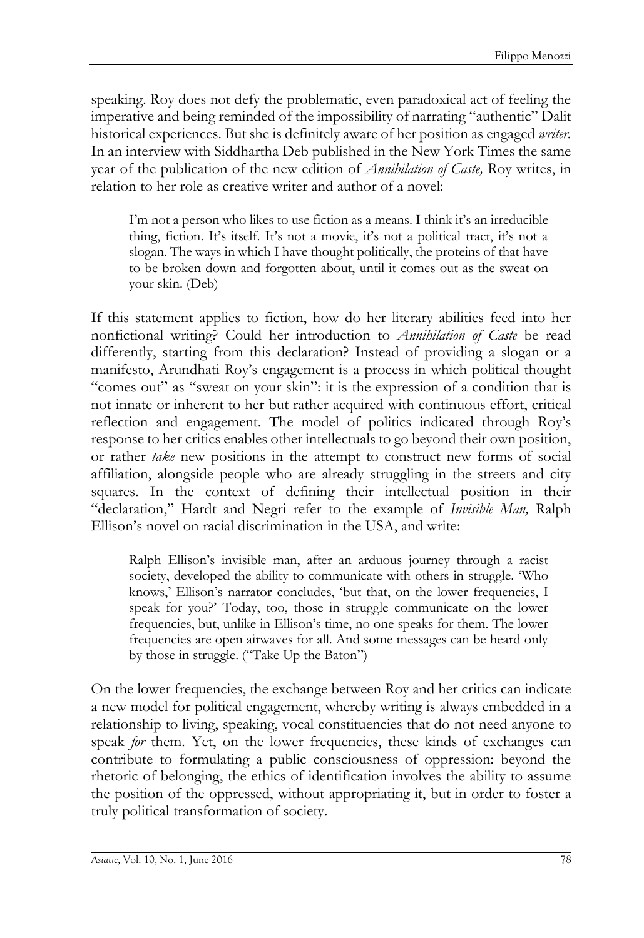speaking. Roy does not defy the problematic, even paradoxical act of feeling the imperative and being reminded of the impossibility of narrating "authentic" Dalit historical experiences. But she is definitely aware of her position as engaged *writer.* In an interview with Siddhartha Deb published in the New York Times the same year of the publication of the new edition of *Annihilation of Caste,* Roy writes, in relation to her role as creative writer and author of a novel:

I'm not a person who likes to use fiction as a means. I think it's an irreducible thing, fiction. It's itself. It's not a movie, it's not a political tract, it's not a slogan. The ways in which I have thought politically, the proteins of that have to be broken down and forgotten about, until it comes out as the sweat on your skin. (Deb)

If this statement applies to fiction, how do her literary abilities feed into her nonfictional writing? Could her introduction to *Annihilation of Caste* be read differently, starting from this declaration? Instead of providing a slogan or a manifesto, Arundhati Roy's engagement is a process in which political thought "comes out" as "sweat on your skin": it is the expression of a condition that is not innate or inherent to her but rather acquired with continuous effort, critical reflection and engagement. The model of politics indicated through Roy's response to her critics enables other intellectuals to go beyond their own position, or rather *take* new positions in the attempt to construct new forms of social affiliation, alongside people who are already struggling in the streets and city squares. In the context of defining their intellectual position in their "declaration," Hardt and Negri refer to the example of *Invisible Man,* Ralph Ellison's novel on racial discrimination in the USA, and write:

Ralph Ellison's invisible man, after an arduous journey through a racist society, developed the ability to communicate with others in struggle. 'Who knows,' Ellison's narrator concludes, 'but that, on the lower frequencies, I speak for you?' Today, too, those in struggle communicate on the lower frequencies, but, unlike in Ellison's time, no one speaks for them. The lower frequencies are open airwaves for all. And some messages can be heard only by those in struggle. ("Take Up the Baton")

On the lower frequencies, the exchange between Roy and her critics can indicate a new model for political engagement, whereby writing is always embedded in a relationship to living, speaking, vocal constituencies that do not need anyone to speak *for* them. Yet, on the lower frequencies, these kinds of exchanges can contribute to formulating a public consciousness of oppression: beyond the rhetoric of belonging, the ethics of identification involves the ability to assume the position of the oppressed, without appropriating it, but in order to foster a truly political transformation of society.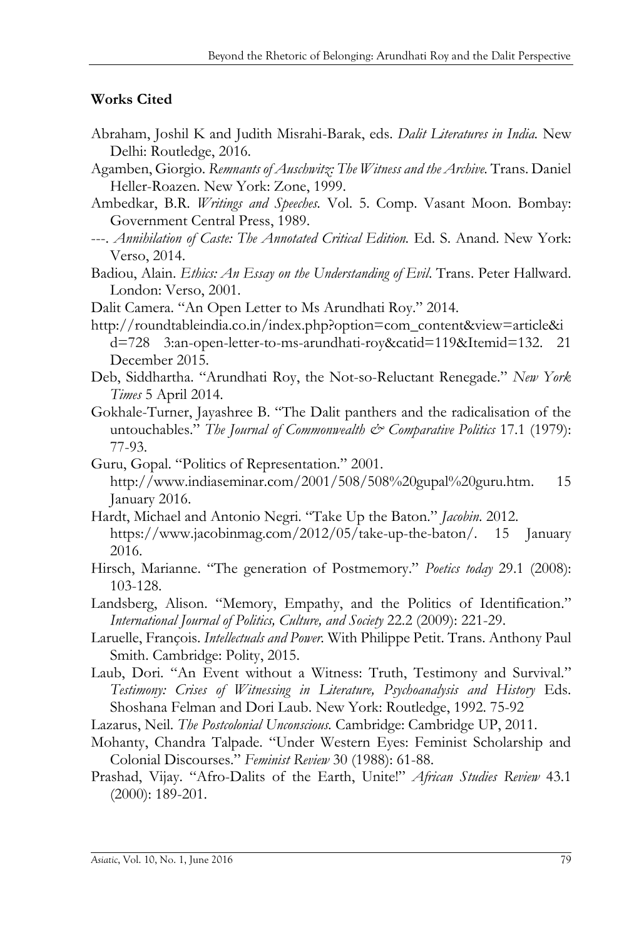#### **Works Cited**

- Abraham, Joshil K and Judith Misrahi-Barak, eds. *Dalit Literatures in India.* New Delhi: Routledge, 2016.
- Agamben, Giorgio. *Remnants of Auschwitz: The Witness and the Archive.* Trans. Daniel Heller-Roazen. New York: Zone, 1999.
- Ambedkar, B.R. *Writings and Speeches.* Vol. 5. Comp. Vasant Moon. Bombay: Government Central Press, 1989.
- ---. *Annihilation of Caste: The Annotated Critical Edition.* Ed. S. Anand. New York: Verso, 2014.
- Badiou, Alain. *Ethics: An Essay on the Understanding of Evil*. Trans. Peter Hallward. London: Verso, 2001.
- Dalit Camera. "An Open Letter to Ms Arundhati Roy." 2014.
- [http://roundtableindia.co.in/index.php?option=com\\_content&view=article&i](http://roundtableindia.co.in/index.php?option=com_content&view=article&id=728%203:an-open-letter-to-ms-arundhati-roy&catid=119&Itemid=132) [d=728 3:an-open-letter-to-ms-arundhati-roy&catid=119&Itemid=132.](http://roundtableindia.co.in/index.php?option=com_content&view=article&id=728%203:an-open-letter-to-ms-arundhati-roy&catid=119&Itemid=132) 21 December 2015.
- Deb, Siddhartha. "Arundhati Roy, the Not-so-Reluctant Renegade." *New York Times* 5 April 2014.
- Gokhale-Turner, Jayashree B. "The Dalit panthers and the radicalisation of the untouchables." *The Journal of Commonwealth & Comparative Politics* 17.1 (1979): 77-93.
- Guru, Gopal. "Politics of Representation." 2001. [http://www.indiaseminar.com/2001/508/508%20gupal%20guru.htm.](http://www.indiaseminar.com/2001/508/508%20gupal%20guru.htm) 15 January 2016.
- Hardt, Michael and Antonio Negri. "Take Up the Baton." *Jacobin*. 2012. [https://www.jacobinmag.com/2012/05/take-up-the-baton/.](https://www.jacobinmag.com/2012/05/take-up-the-baton/) 15 January 2016.
- Hirsch, Marianne. "The generation of Postmemory." *Poetics today* 29.1 (2008): 103-128.
- Landsberg, Alison. "Memory, Empathy, and the Politics of Identification." *International Journal of Politics, Culture, and Society* 22.2 (2009): 221-29.
- Laruelle, François. *Intellectuals and Power.* With Philippe Petit. Trans. Anthony Paul Smith. Cambridge: Polity, 2015.
- Laub, Dori. "An Event without a Witness: Truth, Testimony and Survival." *Testimony: Crises of Witnessing in Literature, Psychoanalysis and History* Eds. Shoshana Felman and Dori Laub. New York: Routledge, 1992. 75-92
- Lazarus, Neil. *The Postcolonial Unconscious.* Cambridge: Cambridge UP, 2011.
- Mohanty, Chandra Talpade. "Under Western Eyes: Feminist Scholarship and Colonial Discourses." *Feminist Review* 30 (1988): 61-88.
- Prashad, Vijay. "Afro-Dalits of the Earth, Unite!" *African Studies Review* 43.1 (2000): 189-201.